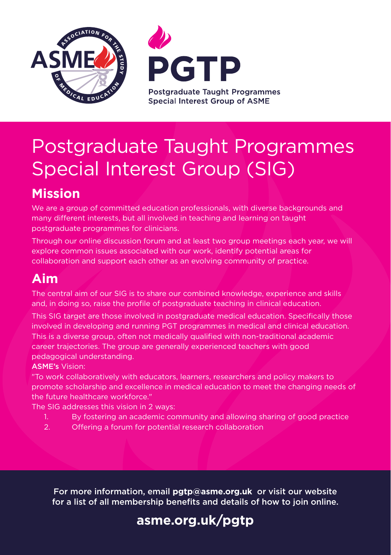



# Postgraduate Taught Programmes Special Interest Group (SIG)

# **Mission**

We are a group of committed education professionals, with diverse backgrounds and many different interests, but all involved in teaching and learning on taught postgraduate programmes for clinicians.

Through our online discussion forum and at least two group meetings each year, we will explore common issues associated with our work, identify potential areas for collaboration and support each other as an evolving community of practice.

#### **Aim**

The central aim of our SIG is to share our combined knowledge, experience and skills and, in doing so, raise the profile of postgraduate teaching in clinical education.

This SIG target are those involved in postgraduate medical education. Specifically those involved in developing and running PGT programmes in medical and clinical education. This is a diverse group, often not medically qualified with non-traditional academic career trajectories. The group are generally experienced teachers with good pedagogical understanding.

ASME's Vision:

"To work collaboratively with educators, learners, researchers and policy makers to promote scholarship and excellence in medical education to meet the changing needs of the future healthcare workforce."

The SIG addresses this vision in 2 ways:

- 1. By fostering an academic community and allowing sharing of good practice
- 2. Offering a forum for potential research collaboration

For more information, email **pgtp@asme.org.uk** or visit our website for a list of all membership benefits and details of how to join online.

# **[asme.org.uk/pgtp](www.asme.org.uk/pgtp)**